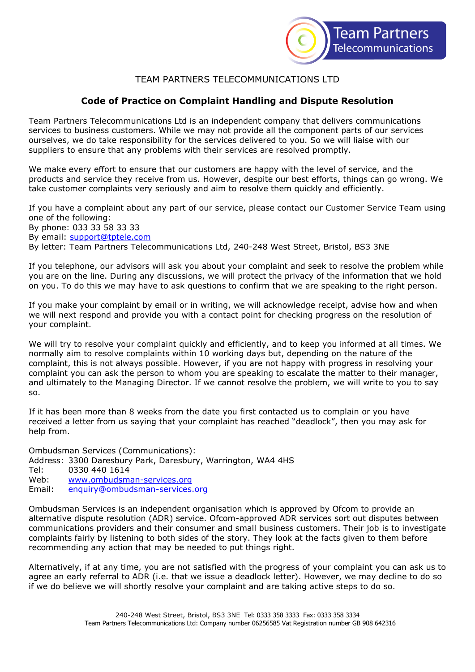

# TEAM PARTNERS TELECOMMUNICATIONS LTD

# **Code of Practice on Complaint Handling and Dispute Resolution**

Team Partners Telecommunications Ltd is an independent company that delivers communications services to business customers. While we may not provide all the component parts of our services ourselves, we do take responsibility for the services delivered to you. So we will liaise with our suppliers to ensure that any problems with their services are resolved promptly.

We make every effort to ensure that our customers are happy with the level of service, and the products and service they receive from us. However, despite our best efforts, things can go wrong. We take customer complaints very seriously and aim to resolve them quickly and efficiently.

If you have a complaint about any part of our service, please contact our Customer Service Team using one of the following:

By phone: 033 33 58 33 33 By email: [support@tptele.com](mailto:support@tptele.com)

By letter: Team Partners Telecommunications Ltd, 240-248 West Street, Bristol, BS3 3NE

If you telephone, our advisors will ask you about your complaint and seek to resolve the problem while you are on the line. During any discussions, we will protect the privacy of the information that we hold on you. To do this we may have to ask questions to confirm that we are speaking to the right person.

If you make your complaint by email or in writing, we will acknowledge receipt, advise how and when we will next respond and provide you with a contact point for checking progress on the resolution of your complaint.

We will try to resolve your complaint quickly and efficiently, and to keep you informed at all times. We normally aim to resolve complaints within 10 working days but, depending on the nature of the complaint, this is not always possible. However, if you are not happy with progress in resolving your complaint you can ask the person to whom you are speaking to escalate the matter to their manager, and ultimately to the Managing Director. If we cannot resolve the problem, we will write to you to say so.

If it has been more than 8 weeks from the date you first contacted us to complain or you have received a letter from us saying that your complaint has reached "deadlock", then you may ask for help from.

Ombudsman Services (Communications): Address: 3300 Daresbury Park, Daresbury, Warrington, WA4 4HS Tel: 0330 440 1614 Web: [www.ombudsman-services.org](http://www.ombudsman-services.org/) Email: [enquiry@ombudsman-services.org](mailto:enquiry@ombudsman-services.org)

Ombudsman Services is an independent organisation which is approved by Ofcom to provide an alternative dispute resolution (ADR) service. Ofcom-approved ADR services sort out disputes between communications providers and their consumer and small business customers. Their job is to investigate complaints fairly by listening to both sides of the story. They look at the facts given to them before recommending any action that may be needed to put things right.

Alternatively, if at any time, you are not satisfied with the progress of your complaint you can ask us to agree an early referral to ADR (i.e. that we issue a deadlock letter). However, we may decline to do so if we do believe we will shortly resolve your complaint and are taking active steps to do so.